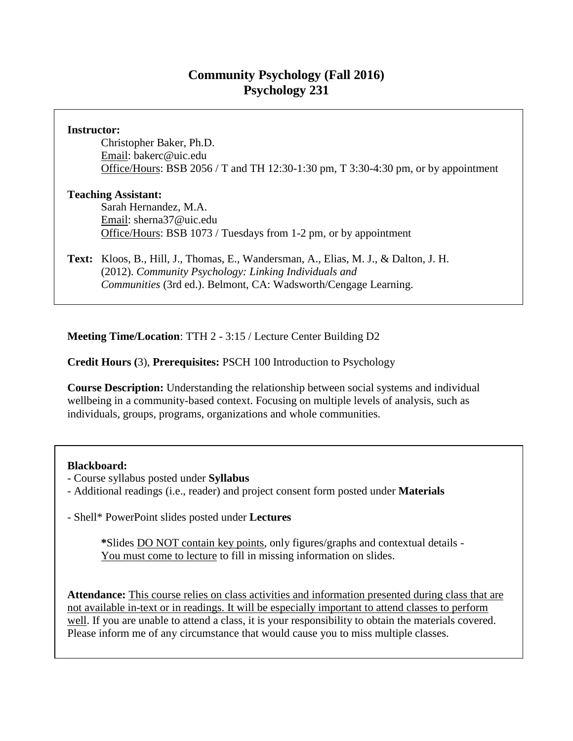# **Community Psychology (Fall 2016) Psychology 231**

## **Instructor:**

Christopher Baker, Ph.D. Email: bakerc@uic.edu Office/Hours: BSB 2056 / T and TH 12:30-1:30 pm, T 3:30-4:30 pm, or by appointment

### **Teaching Assistant:**

Sarah Hernandez, M.A. Email: sherna37@uic.edu Office/Hours: BSB 1073 / Tuesdays from 1-2 pm, or by appointment

**Text:** Kloos, B., Hill, J., Thomas, E., Wandersman, A., Elias, M. J., & Dalton, J. H. (2012). *Community Psychology: Linking Individuals and Communities* (3rd ed.). Belmont, CA: Wadsworth/Cengage Learning.

**Meeting Time/Location**: TTH 2 - 3:15 / Lecture Center Building D2

# **Credit Hours (**3), **Prerequisites:** PSCH 100 Introduction to Psychology

**Course Description:** Understanding the relationship between social systems and individual wellbeing in a community-based context. Focusing on multiple levels of analysis, such as individuals, groups, programs, organizations and whole communities.

#### **Blackboard:**

- Course syllabus posted under **Syllabus**
- Additional readings (i.e., reader) and project consent form posted under **Materials**

- Shell\* PowerPoint slides posted under **Lectures**

**\***Slides DO NOT contain key points, only figures/graphs and contextual details - You must come to lecture to fill in missing information on slides.

**Attendance:** This course relies on class activities and information presented during class that are not available in-text or in readings. It will be especially important to attend classes to perform well. If you are unable to attend a class, it is your responsibility to obtain the materials covered. Please inform me of any circumstance that would cause you to miss multiple classes.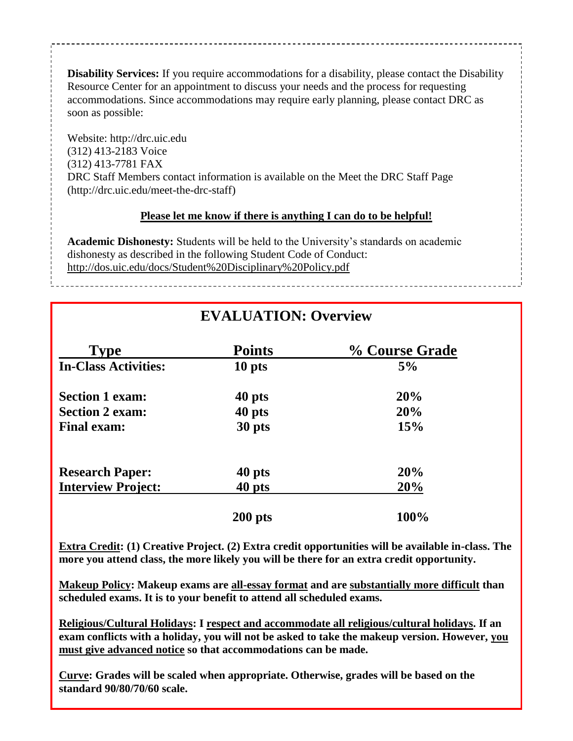**Disability Services:** If you require accommodations for a disability, please contact the Disability Resource Center for an appointment to discuss your needs and the process for requesting accommodations. Since accommodations may require early planning, please contact DRC as soon as possible:

Website: http://drc.uic.edu (312) 413-2183 Voice (312) 413-7781 FAX DRC Staff Members contact information is available on the Meet the DRC Staff Page (http://drc.uic.edu/meet-the-drc-staff)

### **Please let me know if there is anything I can do to be helpful!**

**Academic Dishonesty:** Students will be held to the University's standards on academic dishonesty as described in the following Student Code of Conduct: http://dos.uic.edu/docs/Student%20Disciplinary%20Policy.pdf

**EVALUATION: Overview**

| <b>Type</b>                 | <b>Points</b> | % Course Grade |
|-----------------------------|---------------|----------------|
| <b>In-Class Activities:</b> | 10 pts        | 5%             |
| <b>Section 1 exam:</b>      | 40 pts        | 20%            |
| <b>Section 2 exam:</b>      | 40 pts        | 20%            |
| <b>Final exam:</b>          | 30 pts        | 15%            |
| <b>Research Paper:</b>      | 40 pts        | 20%            |
| <b>Interview Project:</b>   | 40 pts        | 20%            |
|                             | $200$ pts     | 100%           |

**Extra Credit: (1) Creative Project. (2) Extra credit opportunities will be available in-class. The more you attend class, the more likely you will be there for an extra credit opportunity.**

**Makeup Policy: Makeup exams are all-essay format and are substantially more difficult than scheduled exams. It is to your benefit to attend all scheduled exams.**

**Religious/Cultural Holidays: I respect and accommodate all religious/cultural holidays. If an exam conflicts with a holiday, you will not be asked to take the makeup version. However, you must give advanced notice so that accommodations can be made.**

**Curve: Grades will be scaled when appropriate. Otherwise, grades will be based on the standard 90/80/70/60 scale.**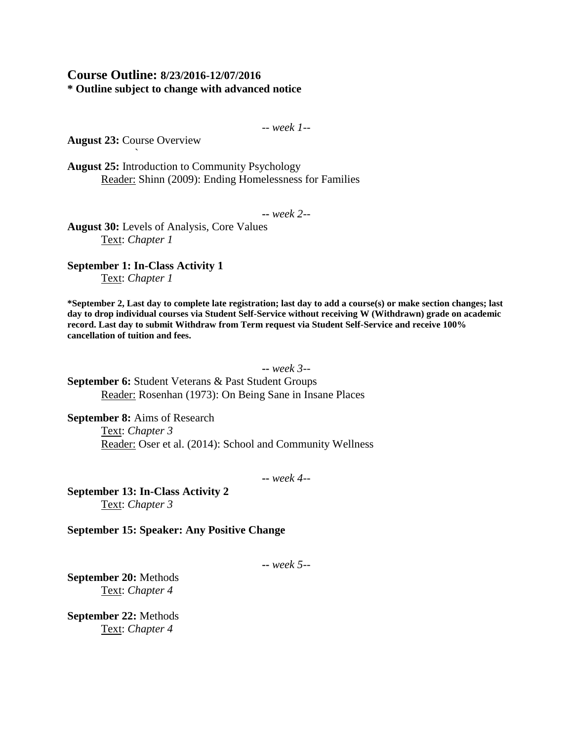## **Course Outline: 8/23/2016-12/07/2016 \* Outline subject to change with advanced notice**

-- *week 1--*

**August 23:** Course Overview `

**August 25:** Introduction to Community Psychology Reader: Shinn (2009): Ending Homelessness for Families

**--** *week 2--*

**August 30:** Levels of Analysis, Core Values Text: *Chapter 1*

**September 1: In-Class Activity 1** Text: *Chapter 1*

**\*September 2, Last day to complete late registration; last day to add a course(s) or make section changes; last day to drop individual courses via Student Self-Service without receiving W (Withdrawn) grade on academic record. Last day to submit Withdraw from Term request via Student Self-Service and receive 100% cancellation of tuition and fees.**

**--** *week 3--*

**September 6:** Student Veterans & Past Student Groups Reader: Rosenhan (1973): On Being Sane in Insane Places

**September 8:** Aims of Research Text: *Chapter 3* Reader: Oser et al. (2014): School and Community Wellness

**--** *week 4--*

**September 13: In-Class Activity 2** Text: *Chapter 3*

**September 15: Speaker: Any Positive Change**

**--** *week 5--*

**September 20:** Methods Text: *Chapter 4*

**September 22:** Methods Text: *Chapter 4*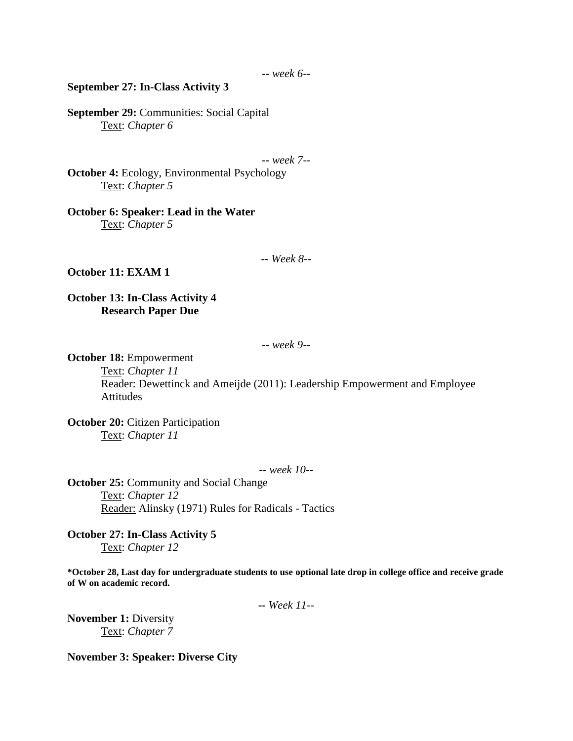#### **September 27: In-Class Activity 3**

**September 29:** Communities: Social Capital Text: *Chapter 6*

**--** *week 7--*

**October 4:** Ecology, Environmental Psychology Text: *Chapter 5*

**October 6: Speaker: Lead in the Water** Text: *Chapter 5*

#### **--** *Week 8--*

#### **October 11: EXAM 1**

**October 13: In-Class Activity 4 Research Paper Due**

**--** *week 9--*

**October 18:** Empowerment

Text: *Chapter 11*

Reader: Dewettinck and Ameijde (2011): Leadership Empowerment and Employee Attitudes

**October 20:** Citizen Participation Text: *Chapter 11*

**--** *week 10--*

**October 25:** Community and Social Change Text: *Chapter 12* Reader: Alinsky (1971) Rules for Radicals - Tactics

**October 27: In-Class Activity 5** Text: *Chapter 12*

**\*October 28, Last day for undergraduate students to use optional late drop in college office and receive grade of W on academic record.**

**--** *Week 11--*

**November 1: Diversity** Text: *Chapter 7*

**November 3: Speaker: Diverse City**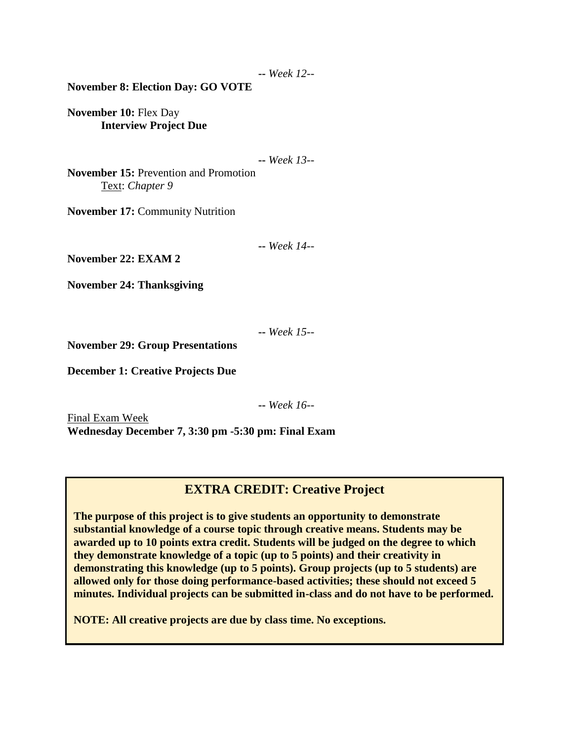**--** *Week 12--*

**November 8: Election Day: GO VOTE**

**November 10:** Flex Day **Interview Project Due**

**--** *Week 13--*

**November 15:** Prevention and Promotion Text: *Chapter 9*

**November 17:** Community Nutrition

**--** *Week 14--*

**November 22: EXAM 2**

**November 24: Thanksgiving**

**--** *Week 15--*

**November 29: Group Presentations**

**December 1: Creative Projects Due**

**--** *Week 16--*

Final Exam Week **Wednesday December 7, 3:30 pm -5:30 pm: Final Exam**

# **EXTRA CREDIT: Creative Project**

**The purpose of this project is to give students an opportunity to demonstrate substantial knowledge of a course topic through creative means. Students may be awarded up to 10 points extra credit. Students will be judged on the degree to which they demonstrate knowledge of a topic (up to 5 points) and their creativity in demonstrating this knowledge (up to 5 points). Group projects (up to 5 students) are allowed only for those doing performance-based activities; these should not exceed 5 minutes. Individual projects can be submitted in-class and do not have to be performed.**

**NOTE: All creative projects are due by class time. No exceptions.**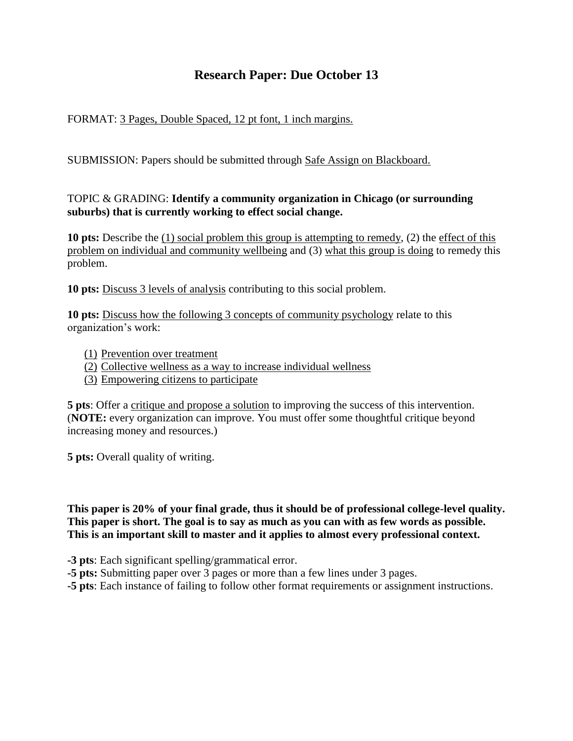# **Research Paper: Due October 13**

# FORMAT: 3 Pages, Double Spaced, 12 pt font, 1 inch margins.

SUBMISSION: Papers should be submitted through Safe Assign on Blackboard.

# TOPIC & GRADING: **Identify a community organization in Chicago (or surrounding suburbs) that is currently working to effect social change.**

**10 pts:** Describe the (1) social problem this group is attempting to remedy, (2) the effect of this problem on individual and community wellbeing and (3) what this group is doing to remedy this problem.

**10 pts:** Discuss 3 levels of analysis contributing to this social problem.

**10 pts:** Discuss how the following 3 concepts of community psychology relate to this organization's work:

- (1) Prevention over treatment
- (2) Collective wellness as a way to increase individual wellness
- (3) Empowering citizens to participate

**5 pts**: Offer a critique and propose a solution to improving the success of this intervention. (**NOTE:** every organization can improve. You must offer some thoughtful critique beyond increasing money and resources.)

**5 pts:** Overall quality of writing.

**This paper is 20% of your final grade, thus it should be of professional college-level quality. This paper is short. The goal is to say as much as you can with as few words as possible. This is an important skill to master and it applies to almost every professional context.** 

**-3 pts**: Each significant spelling/grammatical error.

**-5 pts:** Submitting paper over 3 pages or more than a few lines under 3 pages.

**-5 pts**: Each instance of failing to follow other format requirements or assignment instructions.